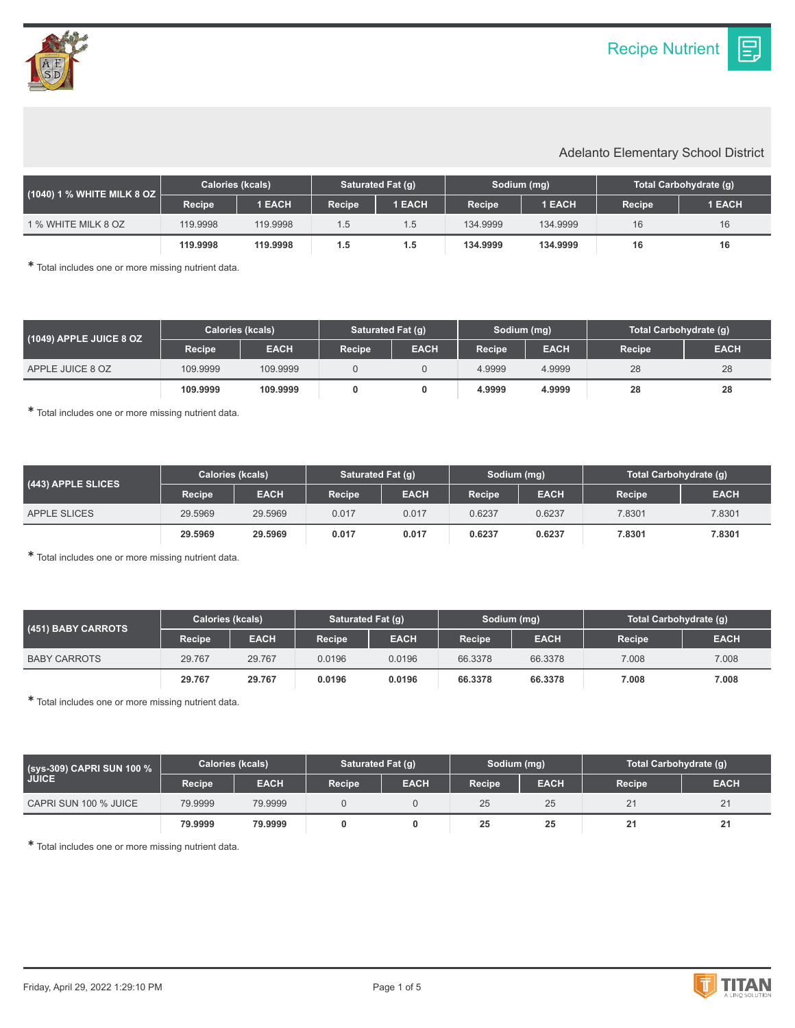IΞ.

## Adelanto Elementary School District

| $(1040)$ 1 % WHITE MILK 8 OZ $\overline{\phantom{a}}$ | <b>Calories (kcals)</b> |               | Saturated Fat (g) |               | Sodium (mg) |          | Total Carbohydrate (q) |               |
|-------------------------------------------------------|-------------------------|---------------|-------------------|---------------|-------------|----------|------------------------|---------------|
|                                                       | <b>Recipe</b>           | <b>1 EACH</b> | <b>Recipe</b>     | <b>1 EACH</b> | Recipe      | 1 EACH   | <b>Recipe</b>          | <b>1 EACH</b> |
| 1 % WHITE MILK 8 OZ                                   | 119.9998                | 119.9998      | 1.5               | 1.5           | 134.9999    | 134.9999 | 16                     | 16            |
|                                                       | 119,9998                | 119,9998      | 1.5               | 1.5           | 134.9999    | 134.9999 | 16                     | 16            |

✱ Total includes one or more missing nutrient data.

| $(1049)$ APPLE JUICE 8 OZ | <b>Calories (kcals)</b> |             | Saturated Fat (q) |             | Sodium (mg)         |             | Total Carbohydrate (g) |             |
|---------------------------|-------------------------|-------------|-------------------|-------------|---------------------|-------------|------------------------|-------------|
|                           | <b>Recipe</b>           | <b>EACH</b> | <b>Recipe</b>     | <b>EACH</b> | Recipe <sup>1</sup> | <b>EACH</b> | Recipe                 | <b>EACH</b> |
| APPLE JUICE 8 OZ          | 109.9999                | 109.9999    |                   |             | 4.9999              | 4.9999      | 28                     | 28          |
|                           | 109.9999                | 109.9999    |                   |             | 4.9999              | 4.9999      | 28                     | 28          |

✱ Total includes one or more missing nutrient data.

| (443) APPLE SLICES | <b>Calories (kcals)</b> |             | Saturated Fat (q) |             | Sodium (mg)   |             | Total Carbohydrate (g) |             |
|--------------------|-------------------------|-------------|-------------------|-------------|---------------|-------------|------------------------|-------------|
|                    | <b>Recipe</b>           | <b>EACH</b> | <b>Recipe</b>     | <b>EACH</b> | <b>Recipe</b> | <b>EACH</b> | Recipe                 | <b>EACH</b> |
| APPLE SLICES       | 29.5969                 | 29.5969     | 0.017             | 0.017       | 0.6237        | 0.6237      | 7.8301                 | 7.8301      |
|                    | 29.5969                 | 29.5969     | 0.017             | 0.017       | 0.6237        | 0.6237      | 7.8301                 | 7.8301      |

✱ Total includes one or more missing nutrient data.

| (451) BABY CARROTS  | Calories (kcals) |             | Saturated Fat (q)   |             | Sodium (mg) |             | Total Carbohydrate (g) |             |
|---------------------|------------------|-------------|---------------------|-------------|-------------|-------------|------------------------|-------------|
|                     | Recipe           | <b>EACH</b> | Recipe <sup>1</sup> | <b>EACH</b> | Recipe      | <b>EACH</b> | <b>Recipe</b>          | <b>EACH</b> |
| <b>BABY CARROTS</b> | 29.767           | 29.767      | 0.0196              | 0.0196      | 66.3378     | 66.3378     | 7.008                  | 7.008       |
|                     | 29.767           | 29.767      | 0.0196              | 0.0196      | 66,3378     | 66.3378     | 7.008                  | 7.008       |

✱ Total includes one or more missing nutrient data.

| (sys-309) CAPRI SUN 100 %<br><b>JUICE</b> | <b>Calories (kcals)</b> |             | Saturated Fat (g) |             | Sodium (mg)   |             | Total Carbohydrate (g) |             |
|-------------------------------------------|-------------------------|-------------|-------------------|-------------|---------------|-------------|------------------------|-------------|
|                                           | Recipe                  | <b>EACH</b> | Recipe            | <b>EACH</b> | <b>Recipe</b> | <b>EACH</b> | Recipe                 | <b>EACH</b> |
| CAPRI SUN 100 % JUICE                     | 79.9999                 | 79.9999     |                   |             | 25            | 25          |                        | 21          |
|                                           | 79.9999                 | 79.9999     |                   |             | 25            | 25          |                        | 21          |

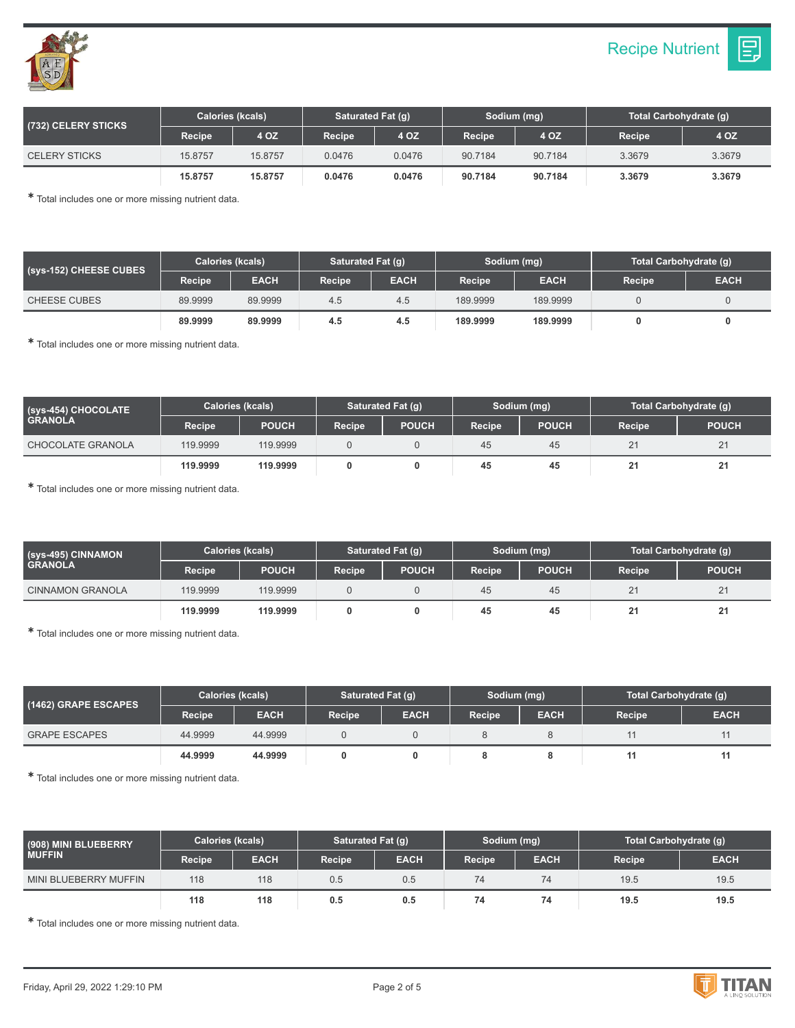



| (732) CELERY STICKS  | <b>Calories (kcals)</b> |         | Saturated Fat (g) |        | Sodium (mg) |         | Total Carbohydrate (q) |        |
|----------------------|-------------------------|---------|-------------------|--------|-------------|---------|------------------------|--------|
|                      | Recipe                  | 4 OZ    | <b>Recipe</b>     | 4 OZ   | Recipe      | 4 OZ    | <b>Recipe</b>          | 4 OZ   |
| <b>CELERY STICKS</b> | 15.8757                 | 15.8757 | 0.0476            | 0.0476 | 90.7184     | 90.7184 | 3.3679                 | 3.3679 |
|                      | 15,8757                 | 15.8757 | 0.0476            | 0.0476 | 90.7184     | 90.7184 | 3.3679                 | 3.3679 |

| (Sys-152) CHEESE CUBES | <b>Calories (kcals)</b> |             | Saturated Fat (g) |             | Sodium (mg) |             | Total Carbohydrate (g) |             |
|------------------------|-------------------------|-------------|-------------------|-------------|-------------|-------------|------------------------|-------------|
|                        | <b>Recipe</b>           | <b>EACH</b> | Recipe            | <b>EACH</b> | Recipe      | <b>EACH</b> | <b>Recipe</b>          | <b>EACH</b> |
| <b>CHEESE CUBES</b>    | 89.9999                 | 89.9999     | 4.5               | 4.5         | 189.9999    | 189,9999    |                        |             |
|                        | 89.9999                 | 89,9999     | 4.5               | 4.5         | 189.9999    | 189.9999    |                        |             |

✱ Total includes one or more missing nutrient data.

| (Sys-454) CHOCOLATE<br><b>GRANOLA</b> | Calories (kcals) |              | Saturated Fat (g) |              | Sodium (mg)         |              | Total Carbohydrate (q) |              |
|---------------------------------------|------------------|--------------|-------------------|--------------|---------------------|--------------|------------------------|--------------|
|                                       | Recipe           | <b>POUCH</b> | <b>Recipe</b>     | <b>POUCH</b> | Recipe <sup>1</sup> | <b>POUCH</b> | Recipe                 | <b>POUCH</b> |
| <b>CHOCOLATE GRANOLA</b>              | 119.9999         | 119.9999     |                   |              | 45                  | 45           |                        | 21           |
|                                       | 119.9999         | 119,9999     |                   |              | 45                  | 45           |                        | 21           |

✱ Total includes one or more missing nutrient data.

| (sys-495) CINNAMON \<br><b>GRANOLA</b> | <b>Calories (kcals)</b> |              | <b>Saturated Fat (g)</b> |              | Sodium (mg) |              | Total Carbohydrate (g) |              |
|----------------------------------------|-------------------------|--------------|--------------------------|--------------|-------------|--------------|------------------------|--------------|
|                                        | Recipe                  | <b>POUCH</b> | <b>Recipe</b>            | <b>POUCH</b> | Recipe      | <b>POUCH</b> | Recipe                 | <b>POUCH</b> |
| <b>CINNAMON GRANOLA</b>                | 119.9999                | 119,9999     |                          |              | 45          | 45           |                        | 21           |
|                                        | 119.9999                | 119,9999     |                          |              | 45          | 45           | -                      | 21           |

✱ Total includes one or more missing nutrient data.

| (1462) GRAPE ESCAPES | <b>Calories (kcals)</b> |             | Saturated Fat (g) |             | Sodium (mg)   |             | Total Carbohydrate (g) |             |
|----------------------|-------------------------|-------------|-------------------|-------------|---------------|-------------|------------------------|-------------|
|                      | Recipe                  | <b>EACH</b> | Recipe            | <b>EACH</b> | <b>Recipe</b> | <b>EACH</b> | <b>Recipe</b>          | <b>EACH</b> |
| <b>GRAPE ESCAPES</b> | 44.9999                 | 44.9999     |                   |             |               |             |                        | 11          |
|                      | 44.9999                 | 44.9999     |                   |             |               |             |                        | 11          |

✱ Total includes one or more missing nutrient data.

| (908) MINI BLUEBERRY<br><b>MUFFIN</b> | <b>Calories (kcals)</b> |             | Saturated Fat (g) |             | Sodium (mg) |             | Total Carbohydrate (g) |             |
|---------------------------------------|-------------------------|-------------|-------------------|-------------|-------------|-------------|------------------------|-------------|
|                                       | Recipe                  | <b>EACH</b> | Recipe            | <b>EACH</b> | Recipe      | <b>EACH</b> | Recipe                 | <b>EACH</b> |
| MINI BLUEBERRY MUFFIN                 | 118                     | 118         | 0.5               | 0.5         | 74          | 74          | 19.5                   | 19.5        |
|                                       | 118                     | 118         | 0.5               | 0.5         | 74          | 74          | 19.5                   | 19.5        |

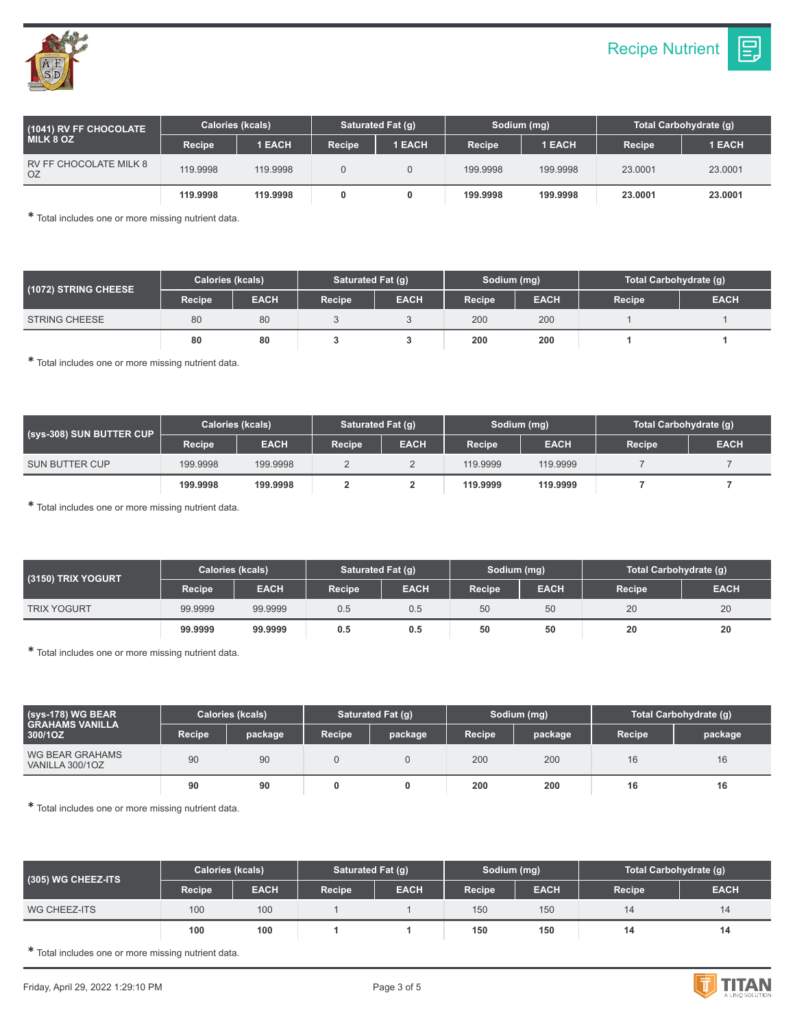| (1041) RV FF CHOCOLATE<br><b>MILK 8 OZ</b> | <b>Calories (kcals)</b> |               | Saturated Fat (q)   |               | Sodium (mg) |          | Total Carbohydrate (q) |               |
|--------------------------------------------|-------------------------|---------------|---------------------|---------------|-------------|----------|------------------------|---------------|
|                                            | <b>Recipe</b>           | <b>1 EACH</b> | Recipe <sup>1</sup> | <b>1 EACH</b> | Recipe      | 1 EACH   | <b>Recipe</b>          | <b>1 EACH</b> |
| RV FF CHOCOLATE MILK 8<br>OΖ               | 119.9998                | 119.9998      |                     |               | 199.9998    | 199.9998 | 23.0001                | 23.0001       |
|                                            | 119,9998                | 119,9998      |                     |               | 199.9998    | 199.9998 | 23,0001                | 23,0001       |

| (1072) STRING CHEESE | Calories (kcals) |             | Saturated Fat (g) |             | Sodium (mg) |             | Total Carbohydrate (g) |             |
|----------------------|------------------|-------------|-------------------|-------------|-------------|-------------|------------------------|-------------|
|                      | Recipe           | <b>EACH</b> | Recipe            | <b>EACH</b> | Recipe      | <b>EACH</b> | Recipe                 | <b>EACH</b> |
| <b>STRING CHEESE</b> | 80               | 80          |                   |             | 200         | 200         |                        |             |
|                      | 80               | 80          |                   |             | 200         | 200         |                        |             |

✱ Total includes one or more missing nutrient data.

| (sys-308) SUN BUTTER CUP | <b>Calories (kcals)</b> |             | Saturated Fat (g) |             | Sodium (mg)   |             | Total Carbohydrate (q) |             |
|--------------------------|-------------------------|-------------|-------------------|-------------|---------------|-------------|------------------------|-------------|
|                          | <b>Recipe</b>           | <b>EACH</b> | <b>Recipe</b>     | <b>EACH</b> | <b>Recipe</b> | <b>EACH</b> | <b>Recipe</b>          | <b>EACH</b> |
| <b>SUN BUTTER CUP</b>    | 199.9998                | 199.9998    |                   |             | 119.9999      | 119.9999    |                        |             |
|                          | 199.9998                | 199.9998    |                   |             | 119,9999      | 119.9999    |                        |             |

✱ Total includes one or more missing nutrient data.

| <b>(3150) TRIX YOGURT</b> ا | <b>Calories (kcals)</b> |             | Saturated Fat (q) |             | Sodium (mg)   |             | Total Carbohydrate (g) |             |
|-----------------------------|-------------------------|-------------|-------------------|-------------|---------------|-------------|------------------------|-------------|
|                             | Recipe                  | <b>EACH</b> | Recipe            | <b>EACH</b> | <b>Recipe</b> | <b>EACH</b> | <b>Recipe</b>          | <b>EACH</b> |
| <b>TRIX YOGURT</b>          | 99.9999                 | 99.9999     | 0.5               | 0.5         | 50            | 50          | 20                     | 20          |
|                             | 99.9999                 | 99,9999     | 0.5               | 0.5         | 50            | 50          | 20                     | 20          |

✱ Total includes one or more missing nutrient data.

| $(sys-178)$ WG BEAR<br>I GRAHAMS VANILLA '<br>300/1OZ | <b>Calories (kcals)</b> |         | Saturated Fat (q) |         | Sodium (mg) |         | Total Carbohydrate (g) |         |
|-------------------------------------------------------|-------------------------|---------|-------------------|---------|-------------|---------|------------------------|---------|
|                                                       | <b>Recipe</b>           | package | <b>Recipe</b>     | package | Recipe      | package | <b>Recipe</b>          | package |
| WG BEAR GRAHAMS<br>VANILLA 300/1OZ                    | 90                      | 90      |                   |         | 200         | 200     | 16                     | 16      |
|                                                       | 90                      | 90      |                   | 0       | 200         | 200     | 16                     | 16      |

✱ Total includes one or more missing nutrient data.

| (305) WG CHEEZ-ITS | <b>Calories (kcals)</b> |             | Saturated Fat (g) |             | Sodium (mg)         |             | Total Carbohydrate (g) |             |
|--------------------|-------------------------|-------------|-------------------|-------------|---------------------|-------------|------------------------|-------------|
|                    | Recipe                  | <b>EACH</b> | Recipe            | <b>EACH</b> | Recipe <sup>1</sup> | <b>EACH</b> | Recipe                 | <b>EACH</b> |
| WG CHEEZ-ITS       | 100                     | 100         |                   |             | 150                 | 150         | 14                     | 14          |
|                    | 100                     | 100         |                   |             | 150                 | 150         | 14                     | 14          |

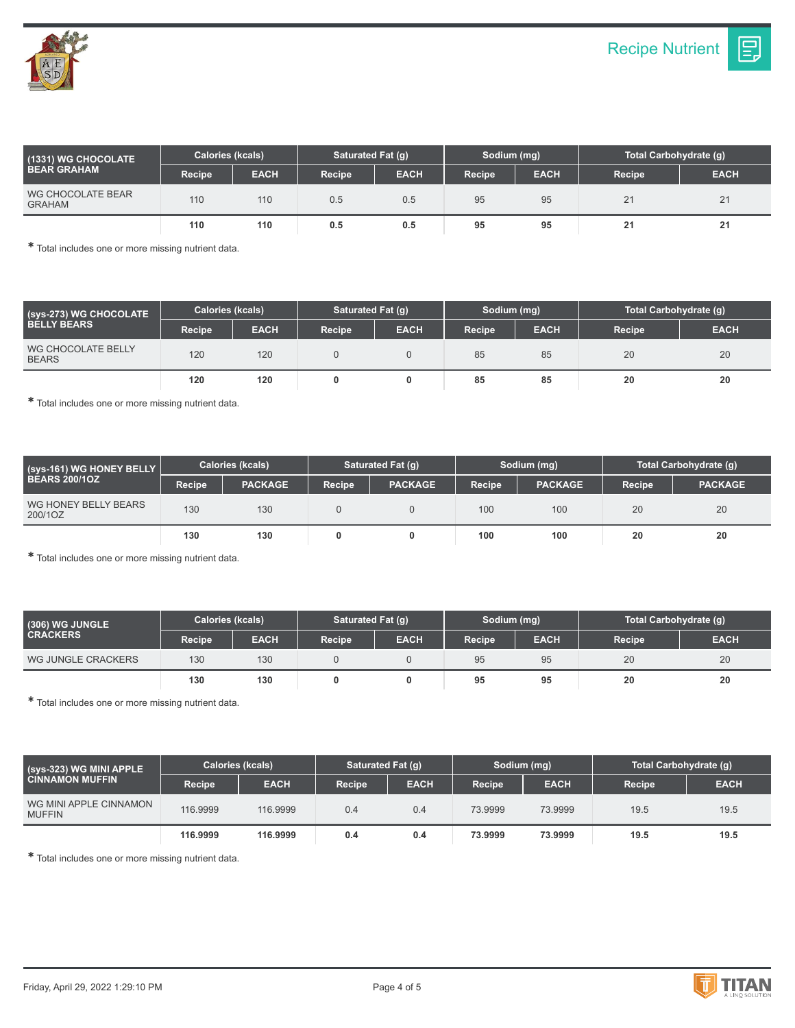

| $(1331)$ WG CHOCOLATE $^{\dagger}$<br><b>BEAR GRAHAM</b> | Calories (kcals) |             | Saturated Fat (q) |             | Sodium (mg) |             | Total Carbohydrate (q) |             |
|----------------------------------------------------------|------------------|-------------|-------------------|-------------|-------------|-------------|------------------------|-------------|
|                                                          | Recipe           | <b>EACH</b> | Recipe            | <b>EACH</b> | Recipe      | <b>EACH</b> | Recipe                 | <b>EACH</b> |
| WG CHOCOLATE BEAR<br><b>GRAHAM</b>                       | 110              | 110         | 0.5               | 0.5         | 95          | 95          | 21                     | 21          |
|                                                          | 110              | 110         | 0.5               | 0.5         | 95          | 95          | 2 <sub>1</sub>         | 21          |

| (sys-273) WG CHOCOLATE<br><b>BELLY BEARS</b> | <b>Calories (kcals)</b> |             | Saturated Fat (g) |             | Sodium (mg) |             | Total Carbohydrate (g) |             |
|----------------------------------------------|-------------------------|-------------|-------------------|-------------|-------------|-------------|------------------------|-------------|
|                                              | Recipe                  | <b>EACH</b> | <b>Recipe</b>     | <b>EACH</b> | Recipe      | <b>EACH</b> | Recipe                 | <b>EACH</b> |
| WG CHOCOLATE BELLY<br><b>BEARS</b>           | 120                     | 120         |                   |             | 85          | 85          | 20                     | 20          |
|                                              | 120                     | 120         |                   |             | 85          | 85          | 20                     | 20          |

✱ Total includes one or more missing nutrient data.

| (sys-161) WG HONEY BELLY<br><b>BEARS 200/10Z</b> | <b>Calories (kcals)</b> |                | Saturated Fat (q) |                | Sodium (mg)   |                | Total Carbohydrate (g) |                |
|--------------------------------------------------|-------------------------|----------------|-------------------|----------------|---------------|----------------|------------------------|----------------|
|                                                  | <b>Recipe</b>           | <b>PACKAGE</b> | <b>Recipe</b>     | <b>PACKAGE</b> | <b>Recipe</b> | <b>PACKAGE</b> | Recipe                 | <b>PACKAGE</b> |
| WG HONEY BELLY BEARS<br>200/1OZ                  | 130                     | 130            |                   |                | 100           | 100            | 20                     | 20             |
|                                                  | 130                     | 130            |                   |                | 100           | 100            | 20                     | 20             |

✱ Total includes one or more missing nutrient data.

| $(306)$ WG JUNGLE $^{\prime}$<br><b>CRACKERS</b> | <b>Calories (kcals)</b> |             | Saturated Fat (g) |             | Sodium (mg)   |             | Total Carbohydrate (g) |             |
|--------------------------------------------------|-------------------------|-------------|-------------------|-------------|---------------|-------------|------------------------|-------------|
|                                                  | Recipe                  | <b>EACH</b> | Recipe            | <b>EACH</b> | <b>Recipe</b> | <b>EACH</b> | <b>Recipe</b>          | <b>EACH</b> |
| WG JUNGLE CRACKERS                               | 130                     | 130         |                   |             | 95            | 95          | 20                     | 20          |
|                                                  | 130                     | 130         |                   |             | 95            | 95          | 20                     | 20          |

✱ Total includes one or more missing nutrient data.

| (Sys-323) WG MINI APPLE '<br><b>CINNAMON MUFFIN</b> | Calories (kcals) |             | Saturated Fat (g) |             | Sodium (mg) |             | Total Carbohydrate (q) |             |
|-----------------------------------------------------|------------------|-------------|-------------------|-------------|-------------|-------------|------------------------|-------------|
|                                                     | Recipe           | <b>EACH</b> | <b>Recipe</b>     | <b>EACH</b> | Recipe      | <b>EACH</b> | Recipe                 | <b>EACH</b> |
| WG MINI APPLE CINNAMON<br><b>MUFFIN</b>             | 116.9999         | 116.9999    | 0.4               | 0.4         | 73.9999     | 73.9999     | 19.5                   | 19.5        |
|                                                     | 116.9999         | 116,9999    | 0.4               | 0.4         | 73.9999     | 73.9999     | 19.5                   | 19.5        |